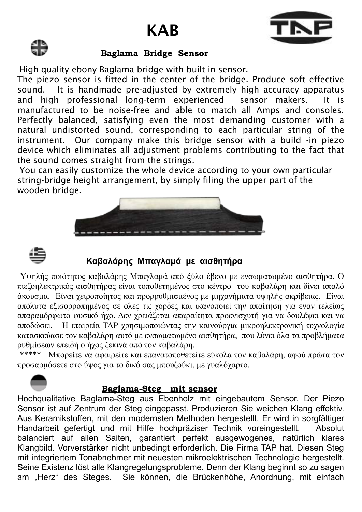# KAB





### **Baglama Bridge Sensor**

High quality ebony Baglama bridge with built in sensor.

The piezo sensor is fitted in the center of the bridge. Produce soft effective sound. It is handmade pre-adjusted by extremely high accuracy apparatus and high professional long-term experienced sensor makers. It is manufactured to be noise-free and able to match all Amps and consoles. Perfectly balanced, satisfying even the most demanding customer with a natural undistorted sound, corresponding to each particular string of the instrument. Our company make this bridge sensor with a build -in piezo device which eliminates all adjustment problems contributing to the fact that the sound comes straight from the strings.

You can easily customize the whole device according to your own particular string-bridge height arrangement, by simply filing the upper part of the wooden bridge.





# **Καβαλάρης Μπαγλαμά με αισθητήρα**

 Υψηλής ποιότητος καβαλάρης Μπαγλαμά από ξύλο έβενο με ενσωματωμένο αισθητήρα. Ο πιεζοηλεκτρικός αισθητήρας είναι τοποθετημένος στο κέντρο του καβαλάρη και δίνει απαλό άκουσμα. Είναι χειροποίητος και προρρυθμισμένος με μηχανήματα υψηλής ακρίβειας. Είναι απόλυτα εξισορροπημένος σε όλες τις χορδές και ικανοποιεί την απαίτηση για έναν τελείως απαραμόρφωτο φυσικό ήχο. Δεν χρειάζεται απαραίτητα προενισχυτή για να δουλέψει και να αποδώσει. Η εταιρεία ΤΑΡ χρησιμοποιώντας την καινούργια μικροηλεκτρονική τεχνολογία κατασκεύασε τον καβαλάρη αυτό με ενσωματωμένο αισθητήρα, που λύνει όλα τα προβλήματα ρυθμίσεων επειδή ο ήχος ξεκινά από τον καβαλάρη.

 \*\*\*\*\* Μπορείτε να αφαιρείτε και επανατοποθετείτε εύκολα τον καβαλάρη, αφού πρώτα τον προσαρμόσετε στο ύψος για το δικό σας μπουζούκι, με γυαλόχαρτο.

## **Baglama-Steg mit sensor**

Hochqualitative Baglama-Steg aus Ebenholz mit eingebautem Sensor. Der Piezo Sensor ist auf Zentrum der Steg eingepasst. Produzieren Sie weichen Klang effektiv. Aus Keramikstoffen, mit den modernsten Methoden hergestellt. Er wird in sorgfältiger Handarbeit gefertigt und mit Hilfe hochpräziser Technik voreingestellt. Absolut balanciert auf allen Saiten, garantiert perfekt ausgewogenes, natürlich klares Klangbild. Vorverstärker nicht unbedingt erforderlich. Die Firma TAP hat. Diesen Steg mit integriertem Tonabnehmer mit neuesten mikroelektrischen Technologie hergestellt. Seine Existenz löst alle Klangregelungsprobleme. Denn der Klang beginnt so zu sagen am "Herz" des Steges. Sie können, die Brückenhöhe, Anordnung, mit einfach